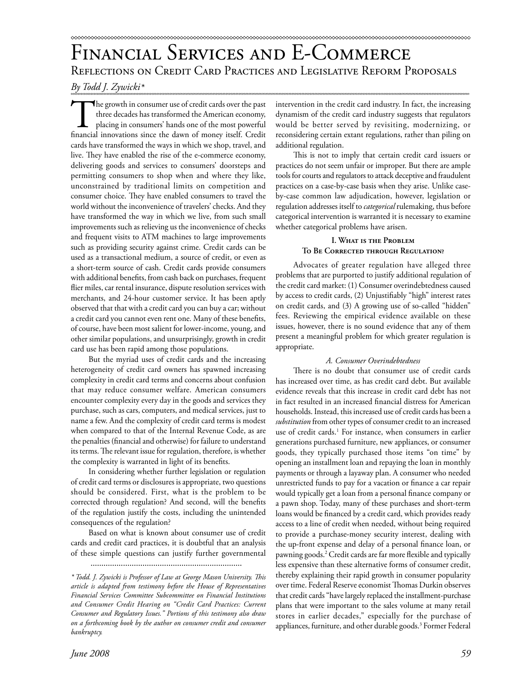*By Todd J. Zywicki\** 

The growth in consumer use of credit cards over the past three decades has transformed the American economy, placing in consumers' hands one of the most powerful financial innovations since the dawn of money itself. Credit cards have transformed the ways in which we shop, travel, and live. They have enabled the rise of the e-commerce economy, delivering goods and services to consumers' doorsteps and permitting consumers to shop when and where they like, unconstrained by traditional limits on competition and consumer choice. They have enabled consumers to travel the world without the inconvenience of travelers' checks. And they have transformed the way in which we live, from such small improvements such as relieving us the inconvenience of checks and frequent visits to ATM machines to large improvements such as providing security against crime. Credit cards can be used as a transactional medium, a source of credit, or even as a short-term source of cash. Credit cards provide consumers with additional benefits, from cash back on purchases, frequent flier miles, car rental insurance, dispute resolution services with merchants, and 24-hour customer service. It has been aptly observed that that with a credit card you can buy a car; without a credit card you cannot even rent one. Many of these benefits, of course, have been most salient for lower-income, young, and other similar populations, and unsurprisingly, growth in credit card use has been rapid among those populations.

But the myriad uses of credit cards and the increasing heterogeneity of credit card owners has spawned increasing complexity in credit card terms and concerns about confusion that may reduce consumer welfare. American consumers encounter complexity every day in the goods and services they purchase, such as cars, computers, and medical services, just to name a few. And the complexity of credit card terms is modest when compared to that of the Internal Revenue Code, as are the penalties (financial and otherwise) for failure to understand its terms. The relevant issue for regulation, therefore, is whether the complexity is warranted in light of its benefits.

In considering whether further legislation or regulation of credit card terms or disclosures is appropriate, two questions should be considered. First, what is the problem to be corrected through regulation? And second, will the benefits of the regulation justify the costs, including the unintended consequences of the regulation?

Based on what is known about consumer use of credit cards and credit card practices, it is doubtful that an analysis of these simple questions can justify further governmental

*June 2008 59*

intervention in the credit card industry. In fact, the increasing dynamism of the credit card industry suggests that regulators would be better served by revisiting, modernizing, or reconsidering certain extant regulations, rather than piling on additional regulation.

This is not to imply that certain credit card issuers or practices do not seem unfair or improper. But there are ample tools for courts and regulators to attack deceptive and fraudulent practices on a case-by-case basis when they arise. Unlike caseby-case common law adjudication, however, legislation or regulation addresses itself to *categorical* rulemaking, thus before categorical intervention is warranted it is necessary to examine whether categorical problems have arisen.

# **I. What is the Problem To Be Corrected through Regulation?**

Advocates of greater regulation have alleged three problems that are purported to justify additional regulation of the credit card market: (1) Consumer overindebtedness caused by access to credit cards, (2) Unjustifiably "high" interest rates on credit cards, and (3) A growing use of so-called "hidden" fees. Reviewing the empirical evidence available on these issues, however, there is no sound evidence that any of them present a meaningful problem for which greater regulation is appropriate.

## *A. Consumer Overindebtedness*

There is no doubt that consumer use of credit cards has increased over time, as has credit card debt. But available evidence reveals that this increase in credit card debt has not in fact resulted in an increased financial distress for American households. Instead, this increased use of credit cards has been a *substitution* from other types of consumer credit to an increased use of credit cards.<sup>1</sup> For instance, when consumers in earlier generations purchased furniture, new appliances, or consumer goods, they typically purchased those items "on time" by opening an installment loan and repaying the loan in monthly payments or through a layaway plan. A consumer who needed unrestricted funds to pay for a vacation or finance a car repair would typically get a loan from a personal finance company or a pawn shop. Today, many of these purchases and short-term loans would be financed by a credit card, which provides ready access to a line of credit when needed, without being required to provide a purchase-money security interest, dealing with the up-front expense and delay of a personal finance loan, or pawning goods.<sup>2</sup> Credit cards are far more flexible and typically less expensive than these alternative forms of consumer credit, thereby explaining their rapid growth in consumer popularity over time. Federal Reserve economist Thomas Durkin observes that credit cards "have largely replaced the installment-purchase plans that were important to the sales volume at many retail stores in earlier decades," especially for the purchase of appliances, furniture, and other durable goods.<sup>3</sup> Former Federal

<sup>......................................................................</sup>

*<sup>\*</sup> Todd. J. Zywicki is Professor of Law at George Mason University. Th is article is adapted from testimony before the House of Representatives Financial Services Committee Subcommittee on Financial Institutions and Consumer Credit Hearing on "Credit Card Practices: Current Consumer and Regulatory Issues." Portions of this testimony also draw on a forthcoming book by the author on consumer credit and consumer bankruptcy.*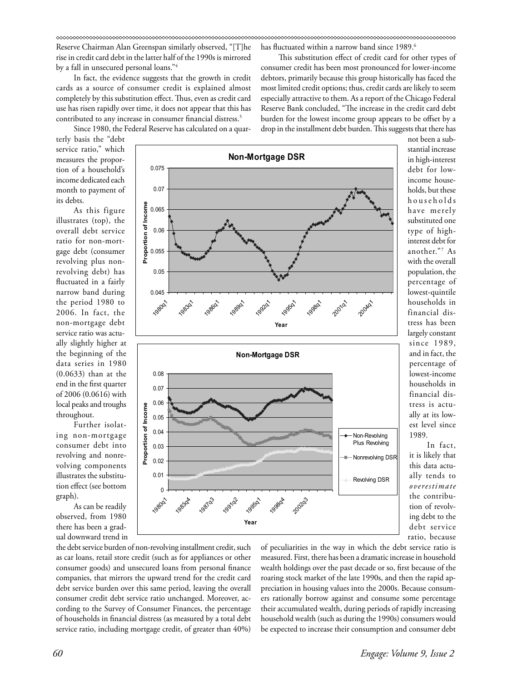Reserve Chairman Alan Greenspan similarly observed, "[T]he rise in credit card debt in the latter half of the 1990s is mirrored by a fall in unsecured personal loans."4

In fact, the evidence suggests that the growth in credit cards as a source of consumer credit is explained almost completely by this substitution effect. Thus, even as credit card use has risen rapidly over time, it does not appear that this has contributed to any increase in consumer financial distress.<sup>5</sup>

Since 1980, the Federal Reserve has calculated on a quar-

terly basis the "debt service ratio," which measures the proportion of a household's income dedicated each month to payment of its debts.

As this figure illustrates (top), the overall debt service ratio for non-mortgage debt (consumer revolving plus nonrevolving debt) has fluctuated in a fairly narrow band during the period 1980 to 2006. In fact, the non-mortgage debt service ratio was actually slightly higher at the beginning of the data series in 1980 (0.0633) than at the end in the first quarter of 2006 (0.0616) with local peaks and troughs throughout.

Further isolating non-mortgage consumer debt into revolving and nonrevolving components illustrates the substitution effect (see bottom graph).

As can be readily observed, from 1980 there has been a gradual downward trend in



especially attractive to them. As a report of the Chicago Federal Reserve Bank concluded, "The increase in the credit card debt burden for the lowest income group appears to be offset by a drop in the installment debt burden. This suggests that there has not been a substantial increase in high-interest debt for lowincome households, but these households have merely substituted one type of highinterest debt for another."7 As with the overall population, the percentage of lowest-quintile households in financial distress has been largely constant since 1989,

has fluctuated within a narrow band since 1989.<sup>6</sup>

This substitution effect of credit card for other types of consumer credit has been most pronounced for lower-income debtors, primarily because this group historically has faced the most limited credit options; thus, credit cards are likely to seem

> and in fact, the percentage of lowest-income households in financial distress is actually at its lowest level since 1989.

In fact, it is likely that this data actually tends to *overestimate* the contribution of revolving debt to the debt service ratio, because

the debt service burden of non-revolving installment credit, such as car loans, retail store credit (such as for appliances or other consumer goods) and unsecured loans from personal finance companies, that mirrors the upward trend for the credit card debt service burden over this same period, leaving the overall consumer credit debt service ratio unchanged. Moreover, according to the Survey of Consumer Finances, the percentage of households in financial distress (as measured by a total debt service ratio, including mortgage credit, of greater than 40%)

of peculiarities in the way in which the debt service ratio is measured. First, there has been a dramatic increase in household wealth holdings over the past decade or so, first because of the roaring stock market of the late 1990s, and then the rapid appreciation in housing values into the 2000s. Because consumers rationally borrow against and consume some percentage their accumulated wealth, during periods of rapidly increasing household wealth (such as during the 1990s) consumers would be expected to increase their consumption and consumer debt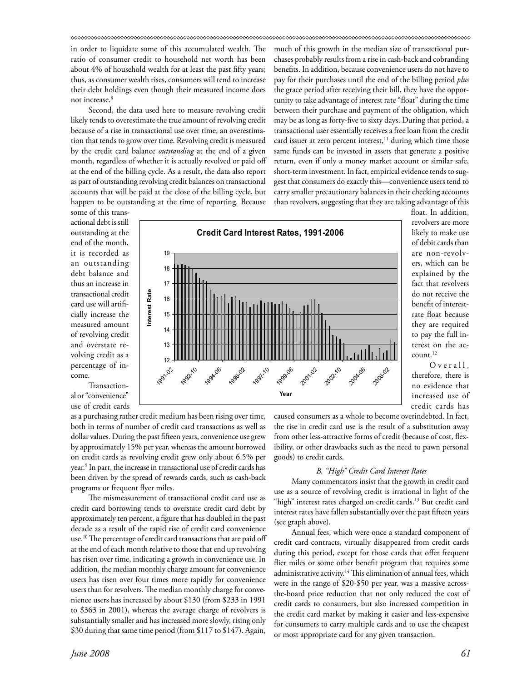in order to liquidate some of this accumulated wealth. The ratio of consumer credit to household net worth has been about 4% of household wealth for at least the past fifty years; thus, as consumer wealth rises, consumers will tend to increase their debt holdings even though their measured income does not increase.<sup>8</sup>

Second, the data used here to measure revolving credit likely tends to overestimate the true amount of revolving credit because of a rise in transactional use over time, an overestimation that tends to grow over time. Revolving credit is measured by the credit card balance *outstanding* at the end of a given month, regardless of whether it is actually revolved or paid off at the end of the billing cycle. As a result, the data also report as part of outstanding revolving credit balances on transactional accounts that will be paid at the close of the billing cycle, but happen to be outstanding at the time of reporting. Because

much of this growth in the median size of transactional purchases probably results from a rise in cash-back and cobranding benefits. In addition, because convenience users do not have to pay for their purchases until the end of the billing period *plus* the grace period after receiving their bill, they have the opportunity to take advantage of interest rate "float" during the time between their purchase and payment of the obligation, which may be as long as forty-five to sixty days. During that period, a transactional user essentially receives a free loan from the credit card issuer at zero percent interest,<sup>11</sup> during which time those same funds can be invested in assets that generate a positive return, even if only a money market account or similar safe, short-term investment. In fact, empirical evidence tends to suggest that consumers do exactly this—convenience users tend to carry smaller precautionary balances in their checking accounts than revolvers, suggesting that they are taking advantage of this

some of this transactional debt is still outstanding at the end of the month, it is recorded as an outstanding debt balance and thus an increase in transactional credit card use will artificially increase the measured amount of revolving credit and overstate revolving credit as a percentage of income.

Transactional or "convenience" use of credit cards

as a purchasing rather credit medium has been rising over time, both in terms of number of credit card transactions as well as dollar values. During the past fifteen years, convenience use grew by approximately 15% per year, whereas the amount borrowed on credit cards as revolving credit grew only about 6.5% per year.<sup>9</sup> In part, the increase in transactional use of credit cards has been driven by the spread of rewards cards, such as cash-back programs or frequent flyer miles.

The mismeasurement of transactional credit card use as credit card borrowing tends to overstate credit card debt by approximately ten percent, a figure that has doubled in the past decade as a result of the rapid rise of credit card convenience use.<sup>10</sup> The percentage of credit card transactions that are paid off at the end of each month relative to those that end up revolving has risen over time, indicating a growth in convenience use. In addition, the median monthly charge amount for convenience users has risen over four times more rapidly for convenience users than for revolvers. The median monthly charge for convenience users has increased by about \$130 (from \$233 in 1991 to \$363 in 2001), whereas the average charge of revolvers is substantially smaller and has increased more slowly, rising only \$30 during that same time period (from \$117 to \$147). Again,



float. In addition, revolvers are more likely to make use of debit cards than are non-revolvers, which can be explained by the fact that revolvers do not receive the benefit of interestrate float because they are required to pay the full interest on the account.12

 $O$  v e r a  $11$ , therefore, there is no evidence that increased use of credit cards has

caused consumers as a whole to become overindebted. In fact, the rise in credit card use is the result of a substitution away from other less-attractive forms of credit (because of cost, flexibility, or other drawbacks such as the need to pawn personal goods) to credit cards.

### *B. "High" Credit Card Interest Rates*

Many commentators insist that the growth in credit card use as a source of revolving credit is irrational in light of the "high" interest rates charged on credit cards.<sup>13</sup> But credit card interest rates have fallen substantially over the past fifteen years (see graph above).

Annual fees, which were once a standard component of credit card contracts, virtually disappeared from credit cards during this period, except for those cards that offer frequent flier miles or some other benefit program that requires some administrative activity.<sup>14</sup> This elimination of annual fees, which were in the range of \$20-\$50 per year, was a massive acrossthe-board price reduction that not only reduced the cost of credit cards to consumers, but also increased competition in the credit card market by making it easier and less-expensive for consumers to carry multiple cards and to use the cheapest or most appropriate card for any given transaction.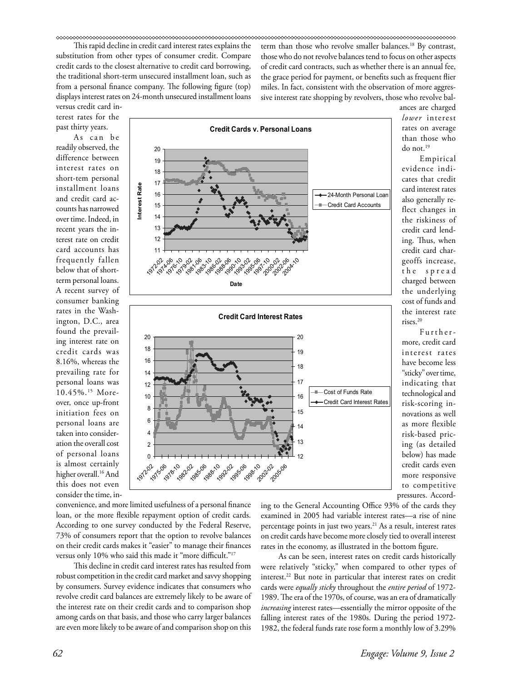This rapid decline in credit card interest rates explains the substitution from other types of consumer credit. Compare credit cards to the closest alternative to credit card borrowing, the traditional short-term unsecured installment loan, such as from a personal finance company. The following figure (top) displays interest rates on 24-month unsecured installment loans

versus credit card interest rates for the past thirty years.

As can be readily observed, the difference between interest rates on short-tem personal installment loans and credit card accounts has narrowed over time. Indeed, in recent years the interest rate on credit card accounts has frequently fallen below that of shortterm personal loans. A recent survey of consumer banking rates in the Washington, D.C., area found the prevailing interest rate on credit cards was 8.16%, whereas the prevailing rate for personal loans was 10.45%.15 Moreover, once up-front initiation fees on personal loans are taken into consideration the overall cost of personal loans is almost certainly higher overall.<sup>16</sup> And this does not even consider the time, in-



term than those who revolve smaller balances.18 By contrast, those who do not revolve balances tend to focus on other aspects of credit card contracts, such as whether there is an annual fee, the grace period for payment, or benefits such as frequent flier miles. In fact, consistent with the observation of more aggressive interest rate shopping by revolvers, those who revolve bal-

ances are charged *lower* interest rates on average than those who do not.19 Empirical evidence indi-

cates that credit card interest rates also generally reflect changes in the riskiness of credit card lending. Thus, when credit card chargeoffs increase, t h e s p r e a d charged between the underlying cost of funds and the interest rate rises.20

Furthermore, credit card interest rates have become less "sticky" over time, indicating that technological and risk-scoring innovations as well as more flexible risk-based pricing (as detailed below) has made credit cards even more responsive to competitive pressures. Accord-

convenience, and more limited usefulness of a personal finance loan, or the more flexible repayment option of credit cards. According to one survey conducted by the Federal Reserve, 73% of consumers report that the option to revolve balances on their credit cards makes it "easier" to manage their finances versus only 10% who said this made it "more difficult."<sup>17</sup>

197282 1976-06 1970 1982-02 1985-06 1988-10 1992-02 1995-06 1998-10 20202 2005-06

This decline in credit card interest rates has resulted from robust competition in the credit card market and savvy shopping by consumers. Survey evidence indicates that consumers who revolve credit card balances are extremely likely to be aware of the interest rate on their credit cards and to comparison shop among cards on that basis, and those who carry larger balances are even more likely to be aware of and comparison shop on this

ing to the General Accounting Office 93% of the cards they examined in 2005 had variable interest rates—a rise of nine percentage points in just two years.<sup>21</sup> As a result, interest rates on credit cards have become more closely tied to overall interest rates in the economy, as illustrated in the bottom figure.

As can be seen, interest rates on credit cards historically were relatively "sticky," when compared to other types of interest.22 But note in particular that interest rates on credit cards were *equally sticky* throughout the *entire period* of 1972- 1989. The era of the 1970s, of course, was an era of dramatically *increasing* interest rates—essentially the mirror opposite of the falling interest rates of the 1980s. During the period 1972- 1982, the federal funds rate rose form a monthly low of 3.29%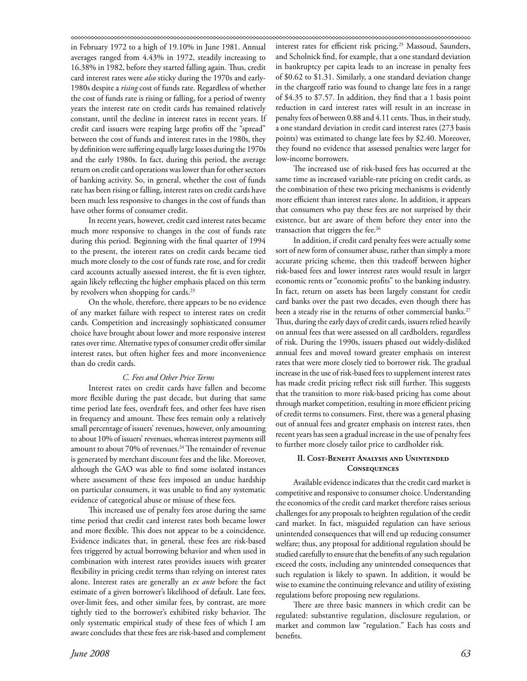in February 1972 to a high of 19.10% in June 1981. Annual averages ranged from 4.43% in 1972, steadily increasing to 16.38% in 1982, before they started falling again. Thus, credit card interest rates were *also* sticky during the 1970s and early-1980s despite a *rising* cost of funds rate. Regardless of whether the cost of funds rate is rising or falling, for a period of twenty years the interest rate on credit cards has remained relatively constant, until the decline in interest rates in recent years. If credit card issuers were reaping large profits off the "spread" between the cost of funds and interest rates in the 1980s, they by definition were suffering equally large losses during the 1970s and the early 1980s. In fact, during this period, the average return on credit card operations was lower than for other sectors of banking activity. So, in general, whether the cost of funds rate has been rising or falling, interest rates on credit cards have been much less responsive to changes in the cost of funds than have other forms of consumer credit.

In recent years, however, credit card interest rates became much more responsive to changes in the cost of funds rate during this period. Beginning with the final quarter of 1994 to the present, the interest rates on credit cards became tied much more closely to the cost of funds rate rose, and for credit card accounts actually assessed interest, the fit is even tighter, again likely reflecting the higher emphasis placed on this term by revolvers when shopping for cards.<sup>23</sup>

On the whole, therefore, there appears to be no evidence of any market failure with respect to interest rates on credit cards. Competition and increasingly sophisticated consumer choice have brought about lower and more responsive interest rates over time. Alternative types of consumer credit offer similar interest rates, but often higher fees and more inconvenience than do credit cards.

## *C. Fees and Other Price Terms*

Interest rates on credit cards have fallen and become more flexible during the past decade, but during that same time period late fees, overdraft fees, and other fees have risen in frequency and amount. These fees remain only a relatively small percentage of issuers' revenues, however, only amounting to about 10% of issuers' revenues, whereas interest payments still amount to about 70% of revenues.<sup>24</sup> The remainder of revenue is generated by merchant discount fees and the like. Moreover, although the GAO was able to find some isolated instances where assessment of these fees imposed an undue hardship on particular consumers, it was unable to find any systematic evidence of categorical abuse or misuse of these fees.

This increased use of penalty fees arose during the same time period that credit card interest rates both became lower and more flexible. This does not appear to be a coincidence. Evidence indicates that, in general, these fees are risk-based fees triggered by actual borrowing behavior and when used in combination with interest rates provides issuers with greater flexibility in pricing credit terms than relying on interest rates alone. Interest rates are generally an *ex ante* before the fact estimate of a given borrower's likelihood of default. Late fees, over-limit fees, and other similar fees, by contrast, are more tightly tied to the borrower's exhibited risky behavior. The only systematic empirical study of these fees of which I am aware concludes that these fees are risk-based and complement interest rates for efficient risk pricing.<sup>25</sup> Massoud, Saunders, and Scholnick find, for example, that a one standard deviation in bankruptcy per capita leads to an increase in penalty fees of \$0.62 to \$1.31. Similarly, a one standard deviation change in the chargeoff ratio was found to change late fees in a range of \$4.35 to \$7.57. In addition, they find that a 1 basis point reduction in card interest rates will result in an increase in penalty fees of between 0.88 and 4.11 cents. Thus, in their study, a one standard deviation in credit card interest rates (273 basis points) was estimated to change late fees by \$2.40. Moreover, they found no evidence that assessed penalties were larger for low-income borrowers.

The increased use of risk-based fees has occurred at the same time as increased variable-rate pricing on credit cards, as the combination of these two pricing mechanisms is evidently more efficient than interest rates alone. In addition, it appears that consumers who pay these fees are not surprised by their existence, but are aware of them before they enter into the transaction that triggers the fee.<sup>26</sup>

In addition, if credit card penalty fees were actually some sort of new form of consumer abuse, rather than simply a more accurate pricing scheme, then this tradeoff between higher risk-based fees and lower interest rates would result in larger economic rents or "economic profits" to the banking industry. In fact, return on assets has been largely constant for credit card banks over the past two decades, even though there has been a steady rise in the returns of other commercial banks.<sup>27</sup> Thus, during the early days of credit cards, issuers relied heavily on annual fees that were assessed on all cardholders, regardless of risk. During the 1990s, issuers phased out widely-disliked annual fees and moved toward greater emphasis on interest rates that were more closely tied to borrower risk. The gradual increase in the use of risk-based fees to supplement interest rates has made credit pricing reflect risk still further. This suggests that the transition to more risk-based pricing has come about through market competition, resulting in more efficient pricing of credit terms to consumers. First, there was a general phasing out of annual fees and greater emphasis on interest rates, then recent years has seen a gradual increase in the use of penalty fees to further more closely tailor price to cardholder risk.

# **II. Cost-Benefit Analysis and Unintended Consequences**

Available evidence indicates that the credit card market is competitive and responsive to consumer choice. Understanding the economics of the credit card market therefore raises serious challenges for any proposals to heighten regulation of the credit card market. In fact, misguided regulation can have serious unintended consequences that will end up reducing consumer welfare; thus, any proposal for additional regulation should be studied carefully to ensure that the benefits of any such regulation exceed the costs, including any unintended consequences that such regulation is likely to spawn. In addition, it would be wise to examine the continuing relevance and utility of existing regulations before proposing new regulations.

There are three basic manners in which credit can be regulated: substantive regulation, disclosure regulation, or market and common law "regulation." Each has costs and benefits.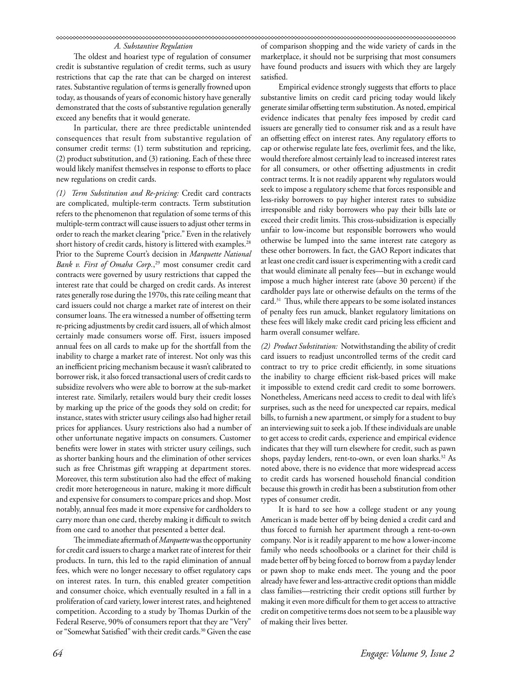# *A. Substantive Regulation*

The oldest and hoariest type of regulation of consumer credit is substantive regulation of credit terms, such as usury restrictions that cap the rate that can be charged on interest rates. Substantive regulation of terms is generally frowned upon today, as thousands of years of economic history have generally demonstrated that the costs of substantive regulation generally exceed any benefits that it would generate.

In particular, there are three predictable unintended consequences that result from substantive regulation of consumer credit terms: (1) term substitution and repricing, (2) product substitution, and (3) rationing. Each of these three would likely manifest themselves in response to efforts to place new regulations on credit cards.

*(1) Term Substitution and Re-pricing:* Credit card contracts are complicated, multiple-term contracts. Term substitution refers to the phenomenon that regulation of some terms of this multiple-term contract will cause issuers to adjust other terms in order to reach the market clearing "price." Even in the relatively short history of credit cards, history is littered with examples.<sup>28</sup> Prior to the Supreme Court's decision in *Marquette National Bank v. First of Omaha Corp.*, 29 most consumer credit card contracts were governed by usury restrictions that capped the interest rate that could be charged on credit cards. As interest rates generally rose during the 1970s, this rate ceiling meant that card issuers could not charge a market rate of interest on their consumer loans. The era witnessed a number of offsetting term re-pricing adjustments by credit card issuers, all of which almost certainly made consumers worse off. First, issuers imposed annual fees on all cards to make up for the shortfall from the inability to charge a market rate of interest. Not only was this an inefficient pricing mechanism because it wasn't calibrated to borrower risk, it also forced transactional users of credit cards to subsidize revolvers who were able to borrow at the sub-market interest rate. Similarly, retailers would bury their credit losses by marking up the price of the goods they sold on credit; for instance, states with stricter usury ceilings also had higher retail prices for appliances. Usury restrictions also had a number of other unfortunate negative impacts on consumers. Customer benefits were lower in states with stricter usury ceilings, such as shorter banking hours and the elimination of other services such as free Christmas gift wrapping at department stores. Moreover, this term substitution also had the effect of making credit more heterogeneous in nature, making it more difficult and expensive for consumers to compare prices and shop. Most notably, annual fees made it more expensive for cardholders to carry more than one card, thereby making it difficult to switch from one card to another that presented a better deal.

The immediate aftermath of *Marquette* was the opportunity for credit card issuers to charge a market rate of interest for their products. In turn, this led to the rapid elimination of annual fees, which were no longer necessary to offset regulatory caps on interest rates. In turn, this enabled greater competition and consumer choice, which eventually resulted in a fall in a proliferation of card variety, lower interest rates, and heightened competition. According to a study by Thomas Durkin of the Federal Reserve, 90% of consumers report that they are "Very" or "Somewhat Satisfied" with their credit cards.<sup>30</sup> Given the ease

of comparison shopping and the wide variety of cards in the marketplace, it should not be surprising that most consumers have found products and issuers with which they are largely satisfied.

Empirical evidence strongly suggests that efforts to place substantive limits on credit card pricing today would likely generate similar offsetting term substitution. As noted, empirical evidence indicates that penalty fees imposed by credit card issuers are generally tied to consumer risk and as a result have an offsetting effect on interest rates. Any regulatory efforts to cap or otherwise regulate late fees, overlimit fees, and the like, would therefore almost certainly lead to increased interest rates for all consumers, or other offsetting adjustments in credit contract terms. It is not readily apparent why regulators would seek to impose a regulatory scheme that forces responsible and less-risky borrowers to pay higher interest rates to subsidize irresponsible and risky borrowers who pay their bills late or exceed their credit limits. This cross-subsidization is especially unfair to low-income but responsible borrowers who would otherwise be lumped into the same interest rate category as these other borrowers. In fact, the GAO Report indicates that at least one credit card issuer is experimenting with a credit card that would eliminate all penalty fees—but in exchange would impose a much higher interest rate (above 30 percent) if the cardholder pays late or otherwise defaults on the terms of the card.<sup>31</sup> Thus, while there appears to be some isolated instances of penalty fees run amuck, blanket regulatory limitations on these fees will likely make credit card pricing less efficient and harm overall consumer welfare.

*(2) Product Substitution:* Notwithstanding the ability of credit card issuers to readjust uncontrolled terms of the credit card contract to try to price credit efficiently, in some situations the inability to charge efficient risk-based prices will make it impossible to extend credit card credit to some borrowers. Nonetheless, Americans need access to credit to deal with life's surprises, such as the need for unexpected car repairs, medical bills, to furnish a new apartment, or simply for a student to buy an interviewing suit to seek a job. If these individuals are unable to get access to credit cards, experience and empirical evidence indicates that they will turn elsewhere for credit, such as pawn shops, payday lenders, rent-to-own, or even loan sharks.<sup>32</sup> As noted above, there is no evidence that more widespread access to credit cards has worsened household financial condition because this growth in credit has been a substitution from other types of consumer credit.

It is hard to see how a college student or any young American is made better off by being denied a credit card and thus forced to furnish her apartment through a rent-to-own company. Nor is it readily apparent to me how a lower-income family who needs schoolbooks or a clarinet for their child is made better off by being forced to borrow from a payday lender or pawn shop to make ends meet. The young and the poor already have fewer and less-attractive credit options than middle class families—restricting their credit options still further by making it even more difficult for them to get access to attractive credit on competitive terms does not seem to be a plausible way of making their lives better.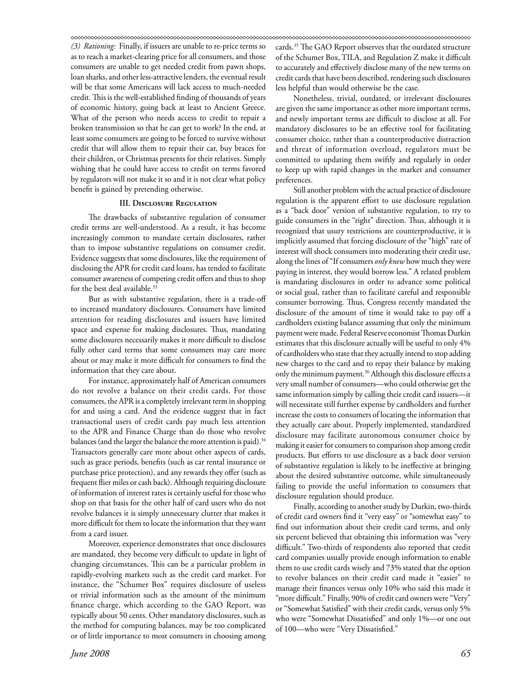*(3) Rationing:* Finally, if issuers are unable to re-price terms so as to reach a market-clearing price for all consumers, and those consumers are unable to get needed credit from pawn shops, loan sharks, and other less-attractive lenders, the eventual result will be that some Americans will lack access to much-needed credit. This is the well-established finding of thousands of years of economic history, going back at least to Ancient Greece. What of the person who needs access to credit to repair a broken transmission so that he can get to work? In the end, at least some consumers are going to be forced to survive without credit that will allow them to repair their car, buy braces for their children, or Christmas presents for their relatives. Simply wishing that he could have access to credit on terms favored by regulators will not make it so and it is not clear what policy benefit is gained by pretending otherwise.

## **III. Disclosure Regulation**

The drawbacks of substantive regulation of consumer credit terms are well-understood. As a result, it has become increasingly common to mandate certain disclosures, rather than to impose substantive regulations on consumer credit. Evidence suggests that some disclosures, like the requirement of disclosing the APR for credit card loans, has tended to facilitate consumer awareness of competing credit offers and thus to shop for the best deal available.<sup>33</sup>

But as with substantive regulation, there is a trade-off to increased mandatory disclosures. Consumers have limited attention for reading disclosures and issuers have limited space and expense for making disclosures. Thus, mandating some disclosures necessarily makes it more difficult to disclose fully other card terms that some consumers may care more about or may make it more difficult for consumers to find the information that they care about.

For instance, approximately half of American consumers do not revolve a balance on their credit cards. For those consumers, the APR is a completely irrelevant term in shopping for and using a card. And the evidence suggest that in fact transactional users of credit cards pay much less attention to the APR and Finance Charge than do those who revolve balances (and the larger the balance the more attention is paid).<sup>34</sup> Transactors generally care more about other aspects of cards, such as grace periods, benefits (such as car rental insurance or purchase price protection), and any rewards they offer (such as frequent flier miles or cash back). Although requiring disclosure of information of interest rates is certainly useful for those who shop on that basis for the other half of card users who do not revolve balances it is simply unnecessary clutter that makes it more difficult for them to locate the information that they want from a card issuer.

Moreover, experience demonstrates that once disclosures are mandated, they become very difficult to update in light of changing circumstances. This can be a particular problem in rapidly-evolving markets such as the credit card market. For instance, the "Schumer Box" requires disclosure of useless or trivial information such as the amount of the minimum finance charge, which according to the GAO Report, was typically about 50 cents. Other mandatory disclosures, such as the method for computing balances, may be too complicated or of little importance to most consumers in choosing among

Nonetheless, trivial, outdated, or irrelevant disclosures are given the same importance as other more important terms, and newly important terms are difficult to disclose at all. For mandatory disclosures to be an effective tool for facilitating consumer choice, rather than a counterproductive distraction and threat of information overload, regulators must be committed to updating them swiftly and regularly in order to keep up with rapid changes in the market and consumer preferences.

Still another problem with the actual practice of disclosure regulation is the apparent effort to use disclosure regulation as a "back door" version of substantive regulation, to try to guide consumers in the "right" direction. Thus, although it is recognized that usury restrictions are counterproductive, it is implicitly assumed that forcing disclosure of the "high" rate of interest will shock consumers into moderating their credit use, along the lines of "If consumers *only knew* how much they were paying in interest, they would borrow less." A related problem is mandating disclosures in order to advance some political or social goal, rather than to facilitate careful and responsible consumer borrowing. Thus, Congress recently mandated the disclosure of the amount of time it would take to pay off a cardholders existing balance assuming that only the minimum payment were made. Federal Reserve economist Thomas Durkin estimates that this disclosure actually will be useful to only 4% of cardholders who state that they actually intend to stop adding new charges to the card and to repay their balance by making only the minimum payment.<sup>36</sup> Although this disclosure effects a very small number of consumers—who could otherwise get the same information simply by calling their credit card issuers—it will necessitate still further expense by cardholders and further increase the costs to consumers of locating the information that they actually care about. Properly implemented, standardized disclosure may facilitate autonomous consumer choice by making it easier for consumers to comparison shop among credit products. But efforts to use disclosure as a back door version of substantive regulation is likely to be ineffective at bringing about the desired substantive outcome, while simultaneously failing to provide the useful information to consumers that disclosure regulation should produce.

Finally, according to another study by Durkin, two-thirds of credit card owners find it "very easy" or "somewhat easy" to find out information about their credit card terms, and only six percent believed that obtaining this information was "very difficult." Two-thirds of respondents also reported that credit card companies usually provide enough information to enable them to use credit cards wisely and 73% stated that the option to revolve balances on their credit card made it "easier" to manage their finances versus only 10% who said this made it "more difficult." Finally, 90% of credit card owners were "Very" or "Somewhat Satisfied" with their credit cards, versus only 5% who were "Somewhat Dissatisfied" and only 1%-or one out of 100-who were "Very Dissatisfied."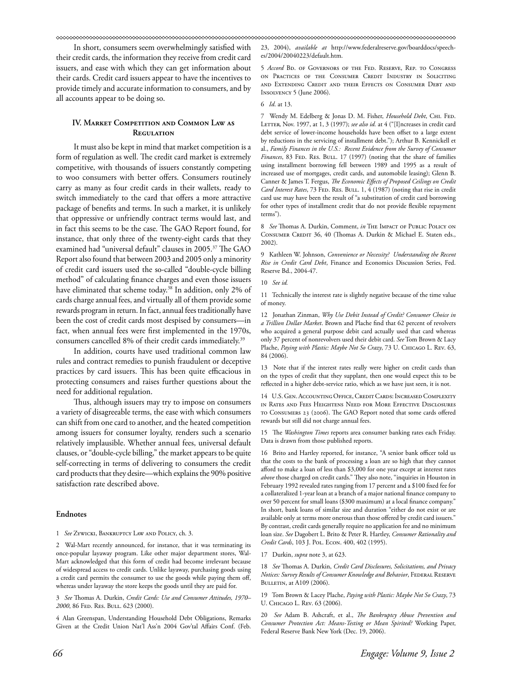In short, consumers seem overwhelmingly satisfied with their credit cards, the information they receive from credit card issuers, and ease with which they can get information about their cards. Credit card issuers appear to have the incentives to provide timely and accurate information to consumers, and by all accounts appear to be doing so.

## **IV. Market Competition and Common Law as REGULATION**

It must also be kept in mind that market competition is a form of regulation as well. The credit card market is extremely competitive, with thousands of issuers constantly competing to woo consumers with better offers. Consumers routinely carry as many as four credit cards in their wallets, ready to switch immediately to the card that offers a more attractive package of benefits and terms. In such a market, it is unlikely that oppressive or unfriendly contract terms would last, and in fact this seems to be the case. The GAO Report found, for instance, that only three of the twenty-eight cards that they examined had "universal default" clauses in 2005.<sup>37</sup> The GAO Report also found that between 2003 and 2005 only a minority of credit card issuers used the so-called "double-cycle billing method" of calculating finance charges and even those issuers have eliminated that scheme today.<sup>38</sup> In addition, only 2% of cards charge annual fees, and virtually all of them provide some rewards program in return. In fact, annual fees traditionally have been the cost of credit cards most despised by consumers—in fact, when annual fees were first implemented in the 1970s, consumers cancelled 8% of their credit cards immediately.<sup>39</sup>

In addition, courts have used traditional common law rules and contract remedies to punish fraudulent or deceptive practices by card issuers. This has been quite efficacious in protecting consumers and raises further questions about the need for additional regulation.

Thus, although issuers may try to impose on consumers a variety of disagreeable terms, the ease with which consumers can shift from one card to another, and the heated competition among issuers for consumer loyalty, renders such a scenario relatively implausible. Whether annual fees, universal default clauses, or "double-cycle billing," the market appears to be quite self-correcting in terms of delivering to consumers the credit card products that they desire—which explains the 90% positive satisfaction rate described above.

## **Endnotes**

1 *See* Zywicki, Bankruptcy Law and Policy, ch. 3.

2 Wal-Mart recently announced, for instance, that it was terminating its once-popular layaway program. Like other major department stores, Wal-Mart acknowledged that this form of credit had become irrelevant because of widespread access to credit cards. Unlike layaway, purchasing goods using a credit card permits the consumer to use the goods while paying them off, whereas under layaway the store keeps the goods until they are paid for.

3 See Thomas A. Durkin, *Credit Cards: Use and Consumer Attitudes*, 1970– *2000*, 86 Fed. Res. Bull. 623 (2000).

4 Alan Greenspan, Understanding Household Debt Obligations, Remarks Given at the Credit Union Nat'l Ass'n 2004 Gov'tal Affairs Conf. (Feb.

23, 2004), *available at* http://www.federalreserve.gov/boarddocs/speeches/2004/20040223/default.htm.

5 *Accord* Bd. of Governors of the Fed. Reserve, Rep. to Congress on Practices of the Consumer Credit Industry in Soliciting and Extending Credit and their Effects on Consumer Debt and Insolvency 5 (June 2006).

6 *Id*. at 13.

7 Wendy M. Edelberg & Jonas D. M. Fisher, *Household Debt*, Chi. Fed. LETTER, Nov. 1997, at 1, 3 (1997); see also id. at 4 ("[I]ncreases in credit card debt service of lower-income households have been offset to a large extent by reductions in the servicing of installment debt."); Arthur B. Kennickell et al., *Family Finances in the U.S.: Recent Evidence from the Survey of Consumer Finances*, 83 FED. RES. BULL. 17 (1997) (noting that the share of families using installment borrowing fell between 1989 and 1995 as a result of increased use of mortgages, credit cards, and automobile leasing); Glenn B. Canner & James T. Fergus, *The Economic Effects of Proposed Ceilings on Credit Card Interest Rates*, 73 FED. RES. BULL. 1, 4 (1987) (noting that rise in credit card use may have been the result of "a substitution of credit card borrowing for other types of installment credit that do not provide flexible repayment terms").

8 See Thomas A. Durkin, Comment, *in* THE IMPACT OF PUBLIC POLICY ON CONSUMER CREDIT 36, 40 (Thomas A. Durkin & Michael E. Staten eds., 2002).

9 Kathleen W. Johnson, *Convenience or Necessity? Understanding the Recent Rise in Credit Card Debt*, Finance and Economics Discussion Series, Fed. Reserve Bd., 2004-47.

## 10 *See id.*

11 Technically the interest rate is slightly negative because of the time value of money.

12 Jonathan Zinman, *Why Use Debit Instead of Credit? Consumer Choice in a Trillion Dollar Market*. Brown and Plache find that 62 percent of revolvers who acquired a general purpose debit card actually used that card whereas only 37 percent of nonrevolvers used their debit card. *See* Tom Brown & Lacy Plache, *Paying with Plastic: Maybe Not So Crazy*, 73 U. CHICAGO L. REV. 63, 84 (2006).

13 Note that if the interest rates really were higher on credit cards than on the types of credit that they supplant, then one would expect this to be reflected in a higher debt-service ratio, which as we have just seen, it is not.

14 U.S. Gen. Accounting Office, Credit Cards: Increased Complexity in Rates and Fees Heightens Need for More Effective Disclosures TO CONSUMERS 23 (2006). The GAO Report noted that some cards offered rewards but still did not charge annual fees.

15 The *Washington Times* reports area consumer banking rates each Friday. Data is drawn from those published reports.

16 Brito and Hartley reported, for instance, "A senior bank officer told us that the costs to the bank of processing a loan are so high that they cannot afford to make a loan of less than \$3,000 for one year except at interest rates *above* those charged on credit cards." They also note, "inquiries in Houston in February 1992 revealed rates ranging from 17 percent and a \$100 fixed fee for a collateralized 1-year loan at a branch of a major national finance company to over 50 percent for small loans (\$300 maximum) at a local finance company." In short, bank loans of similar size and duration "either do not exist or are available only at terms more onerous than those offered by credit card issuers." By contrast, credit cards generally require no application fee and no minimum loan size. *See* Dagobert L. Brito & Peter R. Hartley, *Consumer Rationality and Credit Cards*, 103 J. Pol. Econ. 400, 402 (1995).

17 Durkin, *supra* note 3, at 623.

18 See Thomas A. Durkin, *Credit Card Disclosures, Solicitations, and Privacy Notices: Survey Results of Consumer Knowledge and Behavior*, FEDERAL RESERVE Bulletin, at A109 (2006).

19 Tom Brown & Lacey Plache, *Paying with Plastic: Maybe Not So Crazy*, 73 U. Chicago L. Rev. 63 (2006).

20 *See* Adam B. Ashcraft, et al., *The Bankruptcy Abuse Prevention and Consumer Protection Act: Means-Testing or Mean Spirited?* Working Paper, Federal Reserve Bank New York (Dec. 19, 2006).